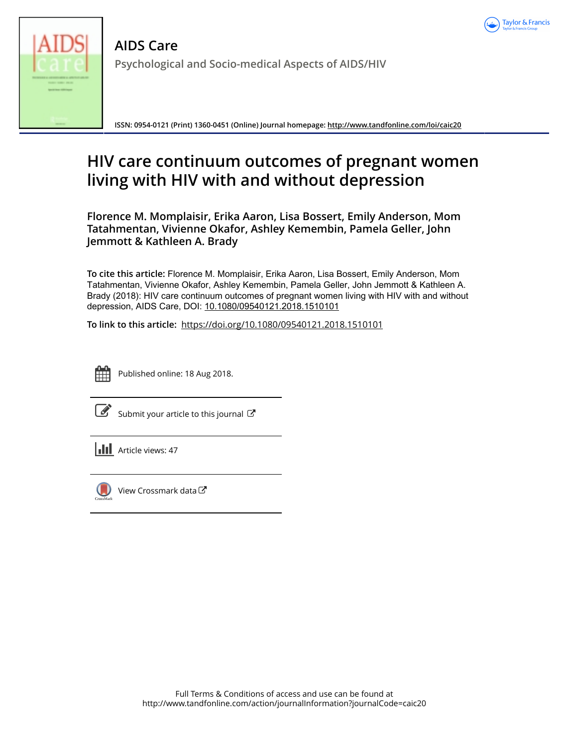



**AIDS Care Psychological and Socio-medical Aspects of AIDS/HIV**

**ISSN: 0954-0121 (Print) 1360-0451 (Online) Journal homepage:<http://www.tandfonline.com/loi/caic20>**

# **HIV care continuum outcomes of pregnant women living with HIV with and without depression**

**Florence M. Momplaisir, Erika Aaron, Lisa Bossert, Emily Anderson, Mom Tatahmentan, Vivienne Okafor, Ashley Kemembin, Pamela Geller, John Jemmott & Kathleen A. Brady**

**To cite this article:** Florence M. Momplaisir, Erika Aaron, Lisa Bossert, Emily Anderson, Mom Tatahmentan, Vivienne Okafor, Ashley Kemembin, Pamela Geller, John Jemmott & Kathleen A. Brady (2018): HIV care continuum outcomes of pregnant women living with HIV with and without depression, AIDS Care, DOI: [10.1080/09540121.2018.1510101](http://www.tandfonline.com/action/showCitFormats?doi=10.1080/09540121.2018.1510101)

**To link to this article:** <https://doi.org/10.1080/09540121.2018.1510101>



Published online: 18 Aug 2018.

[Submit your article to this journal](http://www.tandfonline.com/action/authorSubmission?journalCode=caic20&show=instructions)  $\bm{\mathcal{C}}$ 

**III** Article views: 47



[View Crossmark data](http://crossmark.crossref.org/dialog/?doi=10.1080/09540121.2018.1510101&domain=pdf&date_stamp=2018-08-18)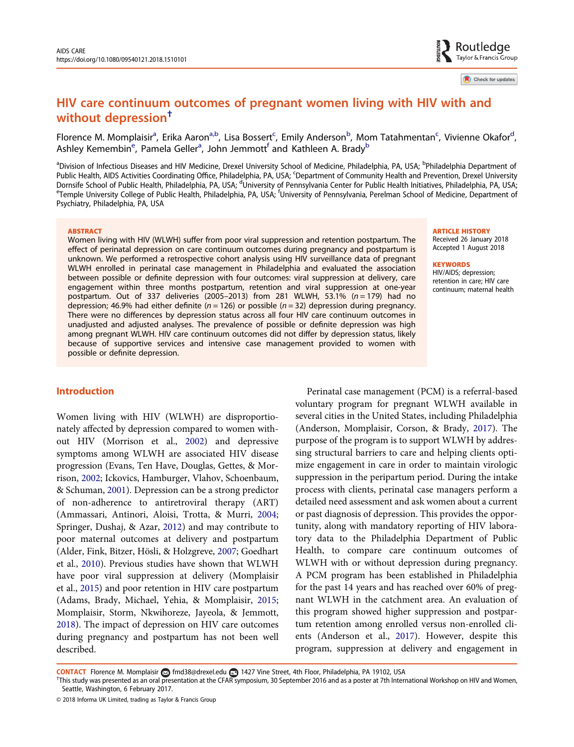# <span id="page-1-0"></span>HIV care continuum outcomes of pregnant women living with HIV with and without depression<sup>†</sup>

Florence M. Momplaisir<sup>a</sup>, Erika Aaron<sup>a,b</sup>, Lisa Bossert<sup>c</sup>, Emily Anderson<sup>b</sup>, Mom Tatahmentan<sup>c</sup>, Vivienne Okafor<sup>d</sup> , Ashley Kemembin<sup>e</sup>, Pamela Geller<sup>a</sup>, John Jemmott<sup>f</sup> and Kathleen A. Brady<sup>b</sup>

<sup>a</sup>Division of Infectious Diseases and HIV Medicine, Drexel University School of Medicine, Philadelphia, PA, USA; <sup>b</sup>Philadelphia Department of Public Health, AIDS Activities Coordinating Office, Philadelphia, PA, USA; <sup>c</sup>Department of Community Health and Prevention, Drexel University Dornsife School of Public Health, Philadelphia, PA, USA; <sup>d</sup>University of Pennsylvania Center for Public Health Initiatives, Philadelphia, PA, USA; Lucci Capacher et al. College of Public Health Initiatives, Philadelphia, Temple University College of Public Health, Philadelphia, PA, USA; <sup>f</sup>University of Pennsylvania, Perelman School of Medicine, Department of Psychiatry, Philadelphia, PA, USA

#### **ABSTRACT**

Women living with HIV (WLWH) suffer from poor viral suppression and retention postpartum. The effect of perinatal depression on care continuum outcomes during pregnancy and postpartum is unknown. We performed a retrospective cohort analysis using HIV surveillance data of pregnant WLWH enrolled in perinatal case management in Philadelphia and evaluated the association between possible or definite depression with four outcomes: viral suppression at delivery, care engagement within three months postpartum, retention and viral suppression at one-year postpartum. Out of 337 deliveries (2005–2013) from 281 WLWH, 53.1% ( $n = 179$ ) had no depression; 46.9% had either definite ( $n = 126$ ) or possible ( $n = 32$ ) depression during pregnancy. There were no differences by depression status across all four HIV care continuum outcomes in unadjusted and adjusted analyses. The prevalence of possible or definite depression was high among pregnant WLWH. HIV care continuum outcomes did not differ by depression status, likely because of supportive services and intensive case management provided to women with possible or definite depression.

# Introduction

Women living with HIV (WLWH) are disproportionately affected by depression compared to women without HIV (Morrison et al., [2002\)](#page-6-0) and depressive symptoms among WLWH are associated HIV disease progression (Evans, Ten Have, Douglas, Gettes, & Morrison, [2002](#page-5-0); Ickovics, Hamburger, Vlahov, Schoenbaum, & Schuman, [2001\)](#page-6-0). Depression can be a strong predictor of non-adherence to antiretroviral therapy (ART) (Ammassari, Antinori, Aloisi, Trotta, & Murri, [2004](#page-5-0); Springer, Dushaj, & Azar, [2012](#page-6-0)) and may contribute to poor maternal outcomes at delivery and postpartum (Alder, Fink, Bitzer, Hösli, & Holzgreve, [2007](#page-5-0); Goedhart et al., [2010\)](#page-5-0). Previous studies have shown that WLWH have poor viral suppression at delivery (Momplaisir et al., [2015](#page-6-0)) and poor retention in HIV care postpartum (Adams, Brady, Michael, Yehia, & Momplaisir, [2015](#page-5-0); Momplaisir, Storm, Nkwihoreze, Jayeola, & Jemmott, [2018](#page-6-0)). The impact of depression on HIV care outcomes during pregnancy and postpartum has not been well described.

Perinatal case management (PCM) is a referral-based voluntary program for pregnant WLWH available in several cities in the United States, including Philadelphia (Anderson, Momplaisir, Corson, & Brady, [2017\)](#page-5-0). The purpose of the program is to support WLWH by addressing structural barriers to care and helping clients optimize engagement in care in order to maintain virologic suppression in the peripartum period. During the intake process with clients, perinatal case managers perform a detailed need assessment and ask women about a current or past diagnosis of depression. This provides the opportunity, along with mandatory reporting of HIV laboratory data to the Philadelphia Department of Public Health, to compare care continuum outcomes of WLWH with or without depression during pregnancy. A PCM program has been established in Philadelphia for the past 14 years and has reached over 60% of pregnant WLWH in the catchment area. An evaluation of this program showed higher suppression and postpartum retention among enrolled versus non-enrolled clients (Anderson et al., [2017](#page-5-0)). However, despite this program, suppression at delivery and engagement in

© 2018 Informa UK Limited, trading as Taylor & Francis Group

ARTICLE HISTORY Received 26 January 2018 Accepted 1 August 2018

**KEYWORDS** HIV/AIDS; depression; retention in care; HIV care continuum; maternal health

Check for updates

CONTACT Florence M. Momplaisir a [fmd38@drexel.edu](mailto:fmd38@drexel.edu) 1427 Vine Street, 4th Floor, Philadelphia, PA 19102, USA

This study was presented as an oral presentation at the CFAR symposium, 30 September 2016 and as a poster at 7th International Workshop on HIV and Women, Seattle, Washington, 6 February 2017.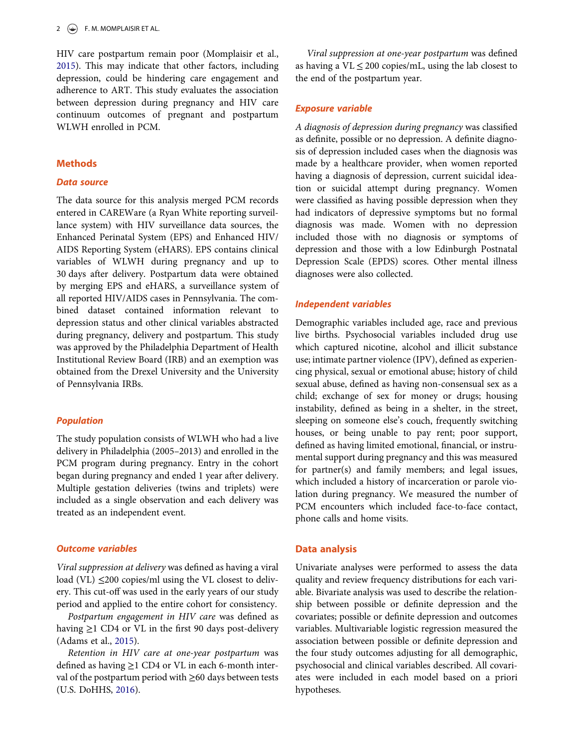<span id="page-2-0"></span>HIV care postpartum remain poor (Momplaisir et al., [2015](#page-6-0)). This may indicate that other factors, including depression, could be hindering care engagement and adherence to ART. This study evaluates the association between depression during pregnancy and HIV care continuum outcomes of pregnant and postpartum WLWH enrolled in PCM.

# **Methods**

## Data source

The data source for this analysis merged PCM records entered in CAREWare (a Ryan White reporting surveillance system) with HIV surveillance data sources, the Enhanced Perinatal System (EPS) and Enhanced HIV/ AIDS Reporting System (eHARS). EPS contains clinical variables of WLWH during pregnancy and up to 30 days after delivery. Postpartum data were obtained by merging EPS and eHARS, a surveillance system of all reported HIV/AIDS cases in Pennsylvania. The combined dataset contained information relevant to depression status and other clinical variables abstracted during pregnancy, delivery and postpartum. This study was approved by the Philadelphia Department of Health Institutional Review Board (IRB) and an exemption was obtained from the Drexel University and the University of Pennsylvania IRBs.

#### Population

The study population consists of WLWH who had a live delivery in Philadelphia (2005–2013) and enrolled in the PCM program during pregnancy. Entry in the cohort began during pregnancy and ended 1 year after delivery. Multiple gestation deliveries (twins and triplets) were included as a single observation and each delivery was treated as an independent event.

#### Outcome variables

Viral suppression at delivery was defined as having a viral load (VL)  $\leq$ 200 copies/ml using the VL closest to delivery. This cut-off was used in the early years of our study period and applied to the entire cohort for consistency.

Postpartum engagement in HIV care was defined as having  $\geq$ 1 CD4 or VL in the first 90 days post-delivery (Adams et al., [2015\)](#page-5-0).

Retention in HIV care at one-year postpartum was defined as having  $\geq$ 1 CD4 or VL in each 6-month interval of the postpartum period with ≥60 days between tests (U.S. DoHHS, [2016](#page-6-0)).

Viral suppression at one-year postpartum was defined as having a  $VL \leq 200$  copies/mL, using the lab closest to the end of the postpartum year.

#### Exposure variable

A diagnosis of depression during pregnancy was classified as definite, possible or no depression. A definite diagnosis of depression included cases when the diagnosis was made by a healthcare provider, when women reported having a diagnosis of depression, current suicidal ideation or suicidal attempt during pregnancy. Women were classified as having possible depression when they had indicators of depressive symptoms but no formal diagnosis was made. Women with no depression included those with no diagnosis or symptoms of depression and those with a low Edinburgh Postnatal Depression Scale (EPDS) scores. Other mental illness diagnoses were also collected.

#### Independent variables

Demographic variables included age, race and previous live births. Psychosocial variables included drug use which captured nicotine, alcohol and illicit substance use; intimate partner violence (IPV), defined as experiencing physical, sexual or emotional abuse; history of child sexual abuse, defined as having non-consensual sex as a child; exchange of sex for money or drugs; housing instability, defined as being in a shelter, in the street, sleeping on someone else's couch, frequently switching houses, or being unable to pay rent; poor support, defined as having limited emotional, financial, or instrumental support during pregnancy and this was measured for partner(s) and family members; and legal issues, which included a history of incarceration or parole violation during pregnancy. We measured the number of PCM encounters which included face-to-face contact, phone calls and home visits.

# Data analysis

Univariate analyses were performed to assess the data quality and review frequency distributions for each variable. Bivariate analysis was used to describe the relationship between possible or definite depression and the covariates; possible or definite depression and outcomes variables. Multivariable logistic regression measured the association between possible or definite depression and the four study outcomes adjusting for all demographic, psychosocial and clinical variables described. All covariates were included in each model based on a priori hypotheses.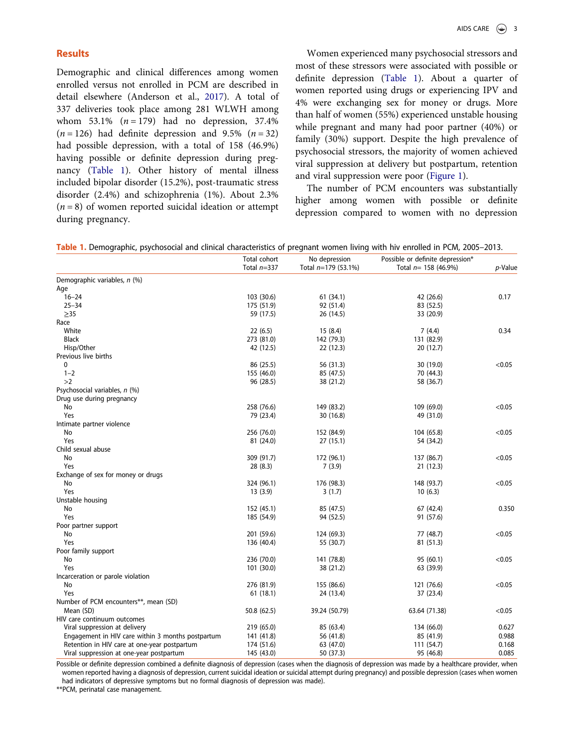during pregnancy.

whom 53.1%  $(n = 179)$  had no depression, 37.4%  $(n = 126)$  had definite depression and 9.5%  $(n = 32)$ had possible depression, with a total of 158 (46.9%) having possible or definite depression during pregnancy (Table 1). Other history of mental illness included bipolar disorder (15.2%), post-traumatic stress disorder (2.4%) and schizophrenia (1%). About 2.3%  $(n = 8)$  of women reported suicidal ideation or attempt

Women experienced many psychosocial stressors and most of these stressors were associated with possible or definite depression (Table 1). About a quarter of women reported using drugs or experiencing IPV and 4% were exchanging sex for money or drugs. More than half of women (55%) experienced unstable housing while pregnant and many had poor partner (40%) or family (30%) support. Despite the high prevalence of psychosocial stressors, the majority of women achieved viral suppression at delivery but postpartum, retention and viral suppression were poor [\(Figure 1](#page-4-0)).

The number of PCM encounters was substantially higher among women with possible or definite depression compared to women with no depression

| Table 1. Demographic, psychosocial and clinical characteristics of pregnant women living with hiv enrolled in PCM, 2005-2013. |              |               |                                  |
|-------------------------------------------------------------------------------------------------------------------------------|--------------|---------------|----------------------------------|
|                                                                                                                               | Total cohort | No depression | Boccible or definite depression* |

|                                                   | Total cohort<br>Total $n=337$ | No depression<br>Total $n=179$ (53.1%) | Possible or definite depression*<br>Total $n=$ 158 (46.9%) | p-Value |
|---------------------------------------------------|-------------------------------|----------------------------------------|------------------------------------------------------------|---------|
| Demographic variables, n (%)                      |                               |                                        |                                                            |         |
| Age                                               |                               |                                        |                                                            |         |
| $16 - 24$                                         | 103 (30.6)                    | 61(34.1)                               | 42 (26.6)                                                  | 0.17    |
| $25 - 34$                                         | 175 (51.9)                    | 92 (51.4)                              | 83 (52.5)                                                  |         |
| >35                                               | 59 (17.5)                     | 26 (14.5)                              | 33 (20.9)                                                  |         |
| Race                                              |                               |                                        |                                                            |         |
| White                                             | 22(6.5)                       | 15(8.4)                                | 7(4.4)                                                     | 0.34    |
| <b>Black</b>                                      | 273 (81.0)                    | 142 (79.3)                             | 131 (82.9)                                                 |         |
| Hisp/Other                                        | 42 (12.5)                     | 22 (12.3)                              | 20 (12.7)                                                  |         |
| Previous live births                              |                               |                                        |                                                            |         |
| 0                                                 | 86 (25.5)                     | 56 (31.3)                              | 30 (19.0)                                                  | < 0.05  |
| $1 - 2$                                           | 155 (46.0)                    | 85 (47.5)                              | 70 (44.3)                                                  |         |
| >2                                                | 96 (28.5)                     | 38 (21.2)                              | 58 (36.7)                                                  |         |
| Psychosocial variables, n (%)                     |                               |                                        |                                                            |         |
| Drug use during pregnancy                         |                               |                                        |                                                            |         |
| No                                                | 258 (76.6)                    | 149 (83.2)                             | 109 (69.0)                                                 | < 0.05  |
| Yes                                               | 79 (23.4)                     | 30 (16.8)                              | 49 (31.0)                                                  |         |
| Intimate partner violence                         |                               |                                        |                                                            |         |
| No                                                | 256 (76.0)                    | 152 (84.9)                             | 104 (65.8)                                                 | < 0.05  |
| Yes                                               | 81 (24.0)                     | 27 (15.1)                              | 54 (34.2)                                                  |         |
| Child sexual abuse                                |                               |                                        |                                                            |         |
| No                                                | 309 (91.7)                    | 172 (96.1)                             | 137 (86.7)                                                 | < 0.05  |
| Yes                                               | 28 (8.3)                      | 7(3.9)                                 | 21 (12.3)                                                  |         |
| Exchange of sex for money or drugs                |                               |                                        |                                                            |         |
| No                                                | 324 (96.1)                    | 176 (98.3)                             | 148 (93.7)                                                 | < 0.05  |
| Yes                                               | 13(3.9)                       | 3(1.7)                                 | 10(6.3)                                                    |         |
| Unstable housing                                  |                               |                                        |                                                            |         |
| No                                                | 152 (45.1)                    | 85 (47.5)                              | 67 (42.4)                                                  | 0.350   |
| Yes                                               | 185 (54.9)                    | 94 (52.5)                              | 91 (57.6)                                                  |         |
| Poor partner support                              |                               |                                        |                                                            |         |
| No                                                | 201 (59.6)                    | 124 (69.3)                             | 77 (48.7)                                                  | < 0.05  |
| Yes                                               | 136 (40.4)                    | 55 (30.7)                              | 81 (51.3)                                                  |         |
| Poor family support                               |                               |                                        |                                                            |         |
| No                                                | 236 (70.0)                    | 141 (78.8)                             | 95 (60.1)                                                  | < 0.05  |
| Yes                                               | 101(30.0)                     | 38 (21.2)                              | 63 (39.9)                                                  |         |
| Incarceration or parole violation                 |                               |                                        |                                                            |         |
| No                                                | 276 (81.9)                    | 155 (86.6)                             | 121 (76.6)                                                 | < 0.05  |
| Yes                                               | 61(18.1)                      | 24 (13.4)                              | 37 (23.4)                                                  |         |
| Number of PCM encounters**, mean (SD)             |                               |                                        |                                                            |         |
| Mean (SD)                                         | 50.8 (62.5)                   | 39.24 (50.79)                          | 63.64 (71.38)                                              | < 0.05  |
| HIV care continuum outcomes                       |                               |                                        |                                                            |         |
| Viral suppression at delivery                     | 219 (65.0)                    | 85 (63.4)                              | 134 (66.0)                                                 | 0.627   |
| Engagement in HIV care within 3 months postpartum | 141 (41.8)                    | 56 (41.8)                              | 85 (41.9)                                                  | 0.988   |
| Retention in HIV care at one-year postpartum      | 174 (51.6)                    | 63 (47.0)                              | 111 (54.7)                                                 | 0.168   |
| Viral suppression at one-year postpartum          | 145 (43.0)                    | 50 (37.3)                              | 95 (46.8)                                                  | 0.085   |

Possible or definite depression combined a definite diagnosis of depression (cases when the diagnosis of depression was made by a healthcare provider, when women reported having a diagnosis of depression, current suicidal ideation or suicidal attempt during pregnancy) and possible depression (cases when women had indicators of depressive symptoms but no formal diagnosis of depression was made).

\*\*PCM, perinatal case management.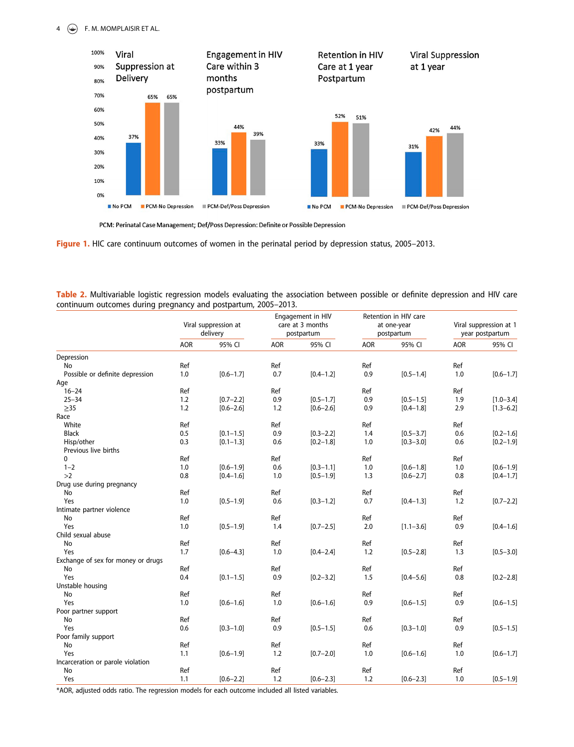# <span id="page-4-0"></span> $4 \quad \circledast$  F. M. MOMPLAISIR ET AL.



PCM: Perinatal Case Management; Def/Poss Depression: Definite or Possible Depression

Figure 1. HIC care continuum outcomes of women in the perinatal period by depression status, 2005–2013.

| Table 2. Multivariable logistic regression models evaluating the association between possible or definite depression and HIV care |  |  |  |  |
|-----------------------------------------------------------------------------------------------------------------------------------|--|--|--|--|
| continuum outcomes during pregnancy and postpartum, 2005-2013.                                                                    |  |  |  |  |

|                                    | Viral suppression at<br>delivery |               | Engagement in HIV<br>care at 3 months<br>postpartum |               | Retention in HIV care<br>at one-year<br>postpartum |               | Viral suppression at 1<br>year postpartum |               |
|------------------------------------|----------------------------------|---------------|-----------------------------------------------------|---------------|----------------------------------------------------|---------------|-------------------------------------------|---------------|
|                                    | <b>AOR</b>                       | 95% CI        | <b>AOR</b>                                          | 95% CI        | <b>AOR</b>                                         | 95% CI        | <b>AOR</b>                                | 95% CI        |
| Depression                         |                                  |               |                                                     |               |                                                    |               |                                           |               |
| <b>No</b>                          | Ref                              |               | Ref                                                 |               | Ref                                                |               | Ref                                       |               |
| Possible or definite depression    | 1.0                              | $[0.6 - 1.7]$ | 0.7                                                 | $[0.4 - 1.2]$ | 0.9                                                | $[0.5 - 1.4]$ | 1.0                                       | $[0.6 - 1.7]$ |
| Age                                |                                  |               |                                                     |               |                                                    |               |                                           |               |
| $16 - 24$                          | Ref                              |               | Ref                                                 |               | Ref                                                |               | Ref                                       |               |
| $25 - 34$                          | 1.2                              | $[0.7 - 2.2]$ | 0.9                                                 | $[0.5 - 1.7]$ | 0.9                                                | $[0.5 - 1.5]$ | 1.9                                       | $[1.0 - 3.4]$ |
| >35                                | 1.2                              | $[0.6 - 2.6]$ | 1.2                                                 | $[0.6 - 2.6]$ | 0.9                                                | $[0.4 - 1.8]$ | 2.9                                       | $[1.3 - 6.2]$ |
| Race                               |                                  |               |                                                     |               |                                                    |               |                                           |               |
| White                              | Ref                              |               | Ref                                                 |               | Ref                                                |               | Ref                                       |               |
| <b>Black</b>                       | 0.5                              | $[0.1 - 1.5]$ | 0.9                                                 | $[0.3 - 2.2]$ | 1.4                                                | $[0.5 - 3.7]$ | 0.6                                       | $[0.2 - 1.6]$ |
| Hisp/other                         | 0.3                              | $[0.1 - 1.3]$ | 0.6                                                 | $[0.2 - 1.8]$ | 1.0                                                | $[0.3 - 3.0]$ | 0.6                                       | $[0.2 - 1.9]$ |
| Previous live births               |                                  |               |                                                     |               |                                                    |               |                                           |               |
| $\mathbf{0}$                       | Ref                              |               | Ref                                                 |               | Ref                                                |               | Ref                                       |               |
| $1 - 2$                            | 1.0                              | $[0.6 - 1.9]$ | 0.6                                                 | $[0.3 - 1.1]$ | 1.0                                                | $[0.6 - 1.8]$ | 1.0                                       | $[0.6 - 1.9]$ |
| >2                                 | 0.8                              | $[0.4 - 1.6]$ | 1.0                                                 | $[0.5 - 1.9]$ | 1.3                                                | $[0.6 - 2.7]$ | 0.8                                       | $[0.4 - 1.7]$ |
| Drug use during pregnancy          |                                  |               |                                                     |               |                                                    |               |                                           |               |
| <b>No</b>                          | Ref                              |               | Ref                                                 |               | Ref                                                |               | Ref                                       |               |
| Yes                                | 1.0                              | $[0.5 - 1.9]$ | 0.6                                                 | $[0.3 - 1.2]$ | 0.7                                                | $[0.4 - 1.3]$ | 1.2                                       | $[0.7 - 2.2]$ |
| Intimate partner violence          |                                  |               |                                                     |               |                                                    |               |                                           |               |
| No                                 | Ref                              |               | Ref                                                 |               | Ref                                                |               | Ref                                       |               |
| Yes                                | 1.0                              | $[0.5 - 1.9]$ | 1.4                                                 | $[0.7 - 2.5]$ | 2.0                                                | $[1.1 - 3.6]$ | 0.9                                       | $[0.4 - 1.6]$ |
| Child sexual abuse                 |                                  |               |                                                     |               |                                                    |               |                                           |               |
| <b>No</b>                          | Ref                              |               | Ref                                                 |               | Ref                                                |               | Ref                                       |               |
| Yes                                | 1.7                              | $[0.6 - 4.3]$ | 1.0                                                 | $[0.4 - 2.4]$ | 1.2                                                | $[0.5 - 2.8]$ | 1.3                                       | $[0.5 - 3.0]$ |
| Exchange of sex for money or drugs |                                  |               |                                                     |               |                                                    |               |                                           |               |
| No                                 | Ref                              |               | Ref                                                 |               | Ref                                                |               | Ref                                       |               |
| Yes                                | 0.4                              | $[0.1 - 1.5]$ | 0.9                                                 | $[0.2 - 3.2]$ | 1.5                                                | $[0.4 - 5.6]$ | 0.8                                       | $[0.2 - 2.8]$ |
| Unstable housing                   |                                  |               |                                                     |               |                                                    |               |                                           |               |
| No                                 | Ref                              |               | Ref                                                 |               | Ref                                                |               | Ref                                       |               |
| Yes                                | 1.0                              | $[0.6 - 1.6]$ | 1.0                                                 | $[0.6 - 1.6]$ | 0.9                                                | $[0.6 - 1.5]$ | 0.9                                       | $[0.6 - 1.5]$ |
| Poor partner support               |                                  |               |                                                     |               |                                                    |               |                                           |               |
| No                                 | Ref                              |               | Ref                                                 |               | Ref                                                |               | Ref                                       |               |
| Yes                                | 0.6                              | $[0.3 - 1.0]$ | 0.9                                                 | $[0.5 - 1.5]$ | 0.6                                                | $[0.3 - 1.0]$ | 0.9                                       | $[0.5 - 1.5]$ |
| Poor family support                |                                  |               |                                                     |               |                                                    |               |                                           |               |
| No                                 | Ref                              |               | Ref                                                 |               | Ref                                                |               | Ref                                       |               |
| Yes                                | 1.1                              | $[0.6 - 1.9]$ | 1.2                                                 | $[0.7 - 2.0]$ | 1.0                                                | $[0.6 - 1.6]$ | 1.0                                       | $[0.6 - 1.7]$ |
| Incarceration or parole violation  |                                  |               |                                                     |               |                                                    |               |                                           |               |
| No                                 | Ref                              |               | Ref                                                 |               | Ref                                                |               | Ref                                       |               |
| Yes                                | 1.1                              | $[0.6 - 2.2]$ | 1.2                                                 | $[0.6 - 2.3]$ | 1.2                                                | $[0.6 - 2.3]$ | 1.0                                       | $[0.5 - 1.9]$ |

\*AOR, adjusted odds ratio. The regression models for each outcome included all listed variables.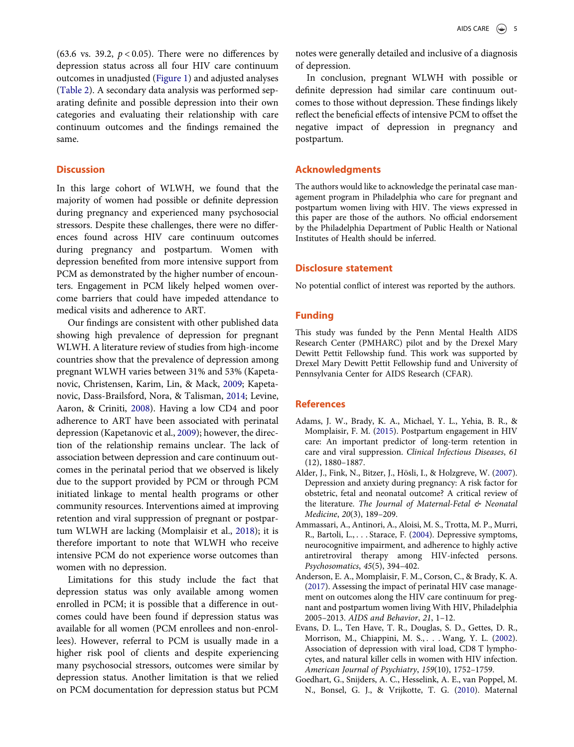<span id="page-5-0"></span>(63.6 vs. 39.2,  $p < 0.05$ ). There were no differences by depression status across all four HIV care continuum outcomes in unadjusted ([Figure 1\)](#page-4-0) and adjusted analyses ([Table 2\)](#page-4-0). A secondary data analysis was performed separating definite and possible depression into their own categories and evaluating their relationship with care continuum outcomes and the findings remained the same.

# **Discussion**

In this large cohort of WLWH, we found that the majority of women had possible or definite depression during pregnancy and experienced many psychosocial stressors. Despite these challenges, there were no differences found across HIV care continuum outcomes during pregnancy and postpartum. Women with depression benefited from more intensive support from PCM as demonstrated by the higher number of encounters. Engagement in PCM likely helped women overcome barriers that could have impeded attendance to medical visits and adherence to ART.

Our findings are consistent with other published data showing high prevalence of depression for pregnant WLWH. A literature review of studies from high-income countries show that the prevalence of depression among pregnant WLWH varies between 31% and 53% (Kapetanovic, Christensen, Karim, Lin, & Mack, [2009;](#page-6-0) Kapetanovic, Dass-Brailsford, Nora, & Talisman, [2014](#page-6-0); Levine, Aaron, & Criniti, [2008](#page-6-0)). Having a low CD4 and poor adherence to ART have been associated with perinatal depression (Kapetanovic et al., [2009](#page-6-0)); however, the direction of the relationship remains unclear. The lack of association between depression and care continuum outcomes in the perinatal period that we observed is likely due to the support provided by PCM or through PCM initiated linkage to mental health programs or other community resources. Interventions aimed at improving retention and viral suppression of pregnant or postpartum WLWH are lacking (Momplaisir et al., [2018](#page-6-0)); it is therefore important to note that WLWH who receive intensive PCM do not experience worse outcomes than women with no depression.

Limitations for this study include the fact that depression status was only available among women enrolled in PCM; it is possible that a difference in outcomes could have been found if depression status was available for all women (PCM enrollees and non-enrollees). However, referral to PCM is usually made in a higher risk pool of clients and despite experiencing many psychosocial stressors, outcomes were similar by depression status. Another limitation is that we relied on PCM documentation for depression status but PCM notes were generally detailed and inclusive of a diagnosis of depression.

In conclusion, pregnant WLWH with possible or definite depression had similar care continuum outcomes to those without depression. These findings likely reflect the beneficial effects of intensive PCM to offset the negative impact of depression in pregnancy and postpartum.

## Acknowledgments

The authors would like to acknowledge the perinatal case management program in Philadelphia who care for pregnant and postpartum women living with HIV. The views expressed in this paper are those of the authors. No official endorsement by the Philadelphia Department of Public Health or National Institutes of Health should be inferred.

#### Disclosure statement

No potential conflict of interest was reported by the authors.

#### Funding

This study was funded by the Penn Mental Health AIDS Research Center (PMHARC) pilot and by the Drexel Mary Dewitt Pettit Fellowship fund. This work was supported by Drexel Mary Dewitt Pettit Fellowship fund and University of Pennsylvania Center for AIDS Research (CFAR).

#### **References**

- Adams, J. W., Brady, K. A., Michael, Y. L., Yehia, B. R., & Momplaisir, F. M. [\(2015\)](#page-1-0). Postpartum engagement in HIV care: An important predictor of long-term retention in care and viral suppression. Clinical Infectious Diseases, 61 (12), 1880–1887.
- Alder, J., Fink, N., Bitzer, J., Hösli, I., & Holzgreve, W. ([2007](#page-1-0)). Depression and anxiety during pregnancy: A risk factor for obstetric, fetal and neonatal outcome? A critical review of the literature. The Journal of Maternal-Fetal & Neonatal Medicine, 20(3), 189–209.
- Ammassari, A., Antinori, A., Aloisi, M. S., Trotta, M. P., Murri, R., Bartoli, L., . . . Starace, F. ([2004\)](#page-1-0). Depressive symptoms, neurocognitive impairment, and adherence to highly active antiretroviral therapy among HIV-infected persons. Psychosomatics, 45(5), 394–402.
- Anderson, E. A., Momplaisir, F. M., Corson, C., & Brady, K. A. ([2017](#page-1-0)). Assessing the impact of perinatal HIV case management on outcomes along the HIV care continuum for pregnant and postpartum women living With HIV, Philadelphia 2005–2013. AIDS and Behavior, 21, 1–12.
- Evans, D. L., Ten Have, T. R., Douglas, S. D., Gettes, D. R., Morrison, M., Chiappini, M. S., . . . Wang, Y. L. ([2002](#page-1-0)). Association of depression with viral load, CD8 T lymphocytes, and natural killer cells in women with HIV infection. American Journal of Psychiatry, 159(10), 1752–1759.
- Goedhart, G., Snijders, A. C., Hesselink, A. E., van Poppel, M. N., Bonsel, G. J., & Vrijkotte, T. G. ([2010\)](#page-1-0). Maternal